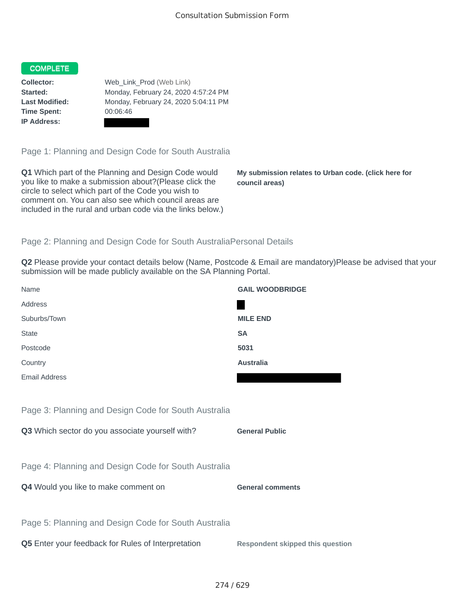## COMPLETE

**Time Spent:** 00:06:46 **IP Address:**

**Collector:** Web\_Link\_Prod (Web Link) **Started:** Monday, February 24, 2020 4:57:24 PM **Last Modified:** Monday, February 24, 2020 5:04:11 PM

Page 1: Planning and Design Code for South Australia

**Q1** Which part of the Planning and Design Code would you like to make a submission about?(Please click the circle to select which part of the Code you wish to comment on. You can also see which council areas are included in the rural and urban code via the links below.)

**My submission relates to Urban code. (click here for council areas)**

## Page 2: Planning and Design Code for South AustraliaPersonal Details

**Q2** Please provide your contact details below (Name, Postcode & Email are mandatory)Please be advised that your submission will be made publicly available on the SA Planning Portal.

| Name                                                 | <b>GAIL WOODBRIDGE</b>                  |
|------------------------------------------------------|-----------------------------------------|
| Address                                              |                                         |
| Suburbs/Town                                         | <b>MILE END</b>                         |
| <b>State</b>                                         | <b>SA</b>                               |
| Postcode                                             | 5031                                    |
| Country                                              | <b>Australia</b>                        |
| <b>Email Address</b>                                 |                                         |
|                                                      |                                         |
| Page 3: Planning and Design Code for South Australia |                                         |
| Q3 Which sector do you associate yourself with?      | <b>General Public</b>                   |
|                                                      |                                         |
| Page 4: Planning and Design Code for South Australia |                                         |
| Q4 Would you like to make comment on                 | <b>General comments</b>                 |
|                                                      |                                         |
| Page 5: Planning and Design Code for South Australia |                                         |
| Q5 Enter your feedback for Rules of Interpretation   | <b>Respondent skipped this question</b> |
|                                                      |                                         |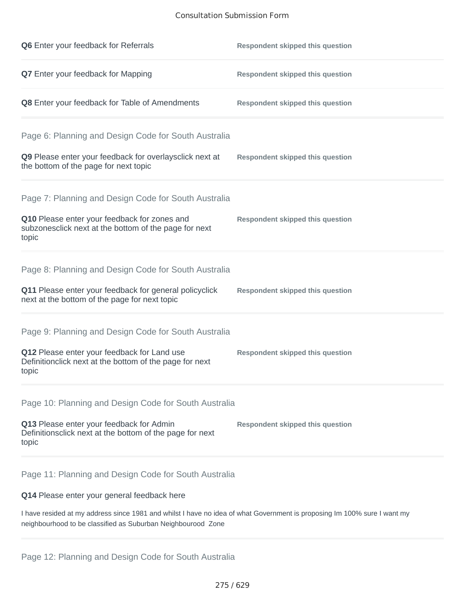## Consultation Submission Form

| Q6 Enter your feedback for Referrals                                                                                                                                    | <b>Respondent skipped this question</b> |
|-------------------------------------------------------------------------------------------------------------------------------------------------------------------------|-----------------------------------------|
| Q7 Enter your feedback for Mapping                                                                                                                                      | <b>Respondent skipped this question</b> |
| Q8 Enter your feedback for Table of Amendments                                                                                                                          | <b>Respondent skipped this question</b> |
| Page 6: Planning and Design Code for South Australia<br>Q9 Please enter your feedback for overlaysclick next at<br>the bottom of the page for next topic                | <b>Respondent skipped this question</b> |
| Page 7: Planning and Design Code for South Australia<br>Q10 Please enter your feedback for zones and<br>subzonesclick next at the bottom of the page for next<br>topic  | <b>Respondent skipped this question</b> |
| Page 8: Planning and Design Code for South Australia<br>Q11 Please enter your feedback for general policyclick<br>next at the bottom of the page for next topic         | <b>Respondent skipped this question</b> |
| Page 9: Planning and Design Code for South Australia<br>Q12 Please enter your feedback for Land use<br>Definitionclick next at the bottom of the page for next<br>topic | <b>Respondent skipped this question</b> |
| Page 10: Planning and Design Code for South Australia<br>Q13 Please enter your feedback for Admin<br>Definitionsclick next at the bottom of the page for next<br>topic  | <b>Respondent skipped this question</b> |
| Page 11: Planning and Design Code for South Australia<br>Q14 Please enter your general feedback here                                                                    |                                         |

I have resided at my address since 1981 and whilst I have no idea of what Government is proposing Im 100% sure I want my neighbourhood to be classified as Suburban Neighbourood Zone